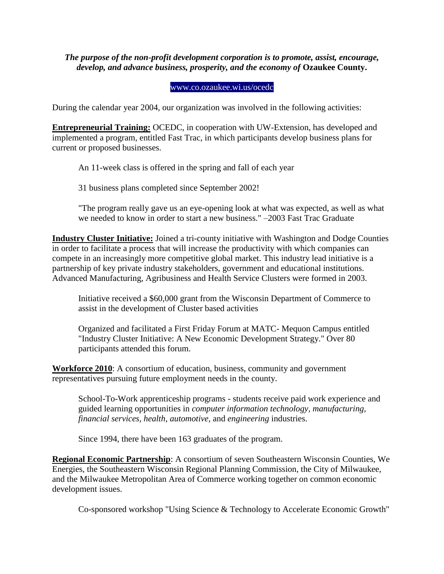*The purpose of the non-profit development corporation is to promote, assist, encourage, develop, and advance business, prosperity, and the economy of* **Ozaukee County.**

## [www.co.ozaukee.wi.us/ocedc](http://www.co.ozaukee.wi.us/OCEDC/index.htm)

During the calendar year 2004, our organization was involved in the following activities:

**Entrepreneurial Training:** OCEDC, in cooperation with UW-Extension, has developed and implemented a program, entitled Fast Trac, in which participants develop business plans for current or proposed businesses.

An 11-week class is offered in the spring and fall of each year

31 business plans completed since September 2002!

"The program really gave us an eye-opening look at what was expected, as well as what we needed to know in order to start a new business." –2003 Fast Trac Graduate

**Industry Cluster Initiative:** Joined a tri-county initiative with Washington and Dodge Counties in order to facilitate a process that will increase the productivity with which companies can compete in an increasingly more competitive global market. This industry lead initiative is a partnership of key private industry stakeholders, government and educational institutions. Advanced Manufacturing, Agribusiness and Health Service Clusters were formed in 2003.

Initiative received a \$60,000 grant from the Wisconsin Department of Commerce to assist in the development of Cluster based activities

Organized and facilitated a First Friday Forum at MATC- Mequon Campus entitled "Industry Cluster Initiative: A New Economic Development Strategy." Over 80 participants attended this forum.

**Workforce 2010**: A consortium of education, business, community and government representatives pursuing future employment needs in the county.

School-To-Work apprenticeship programs - students receive paid work experience and guided learning opportunities in *computer information technology, manufacturing, financial services, health, automotive,* and *engineering* industries.

Since 1994, there have been 163 graduates of the program.

**Regional Economic Partnership**: A consortium of seven Southeastern Wisconsin Counties, We Energies, the Southeastern Wisconsin Regional Planning Commission, the City of Milwaukee, and the Milwaukee Metropolitan Area of Commerce working together on common economic development issues.

Co-sponsored workshop "Using Science & Technology to Accelerate Economic Growth"